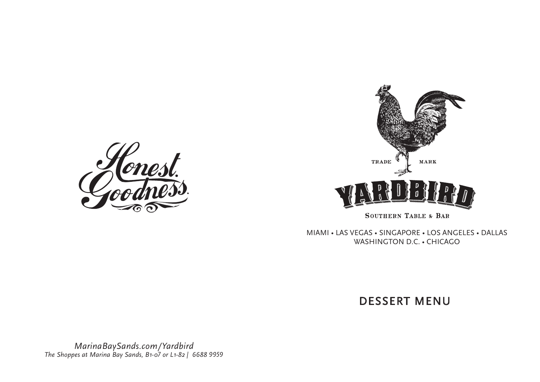



MIAMI • LAS VEGAS • SINGAPORE • LOS ANGELES • DALLAS WASHINGTON D.C. • CHICAGO

DESSERT MENU

*MarinaBaySands.com/Yardbird The Shoppes at Marina Bay Sands, B1-07 or L1-82 | 6688 9959*